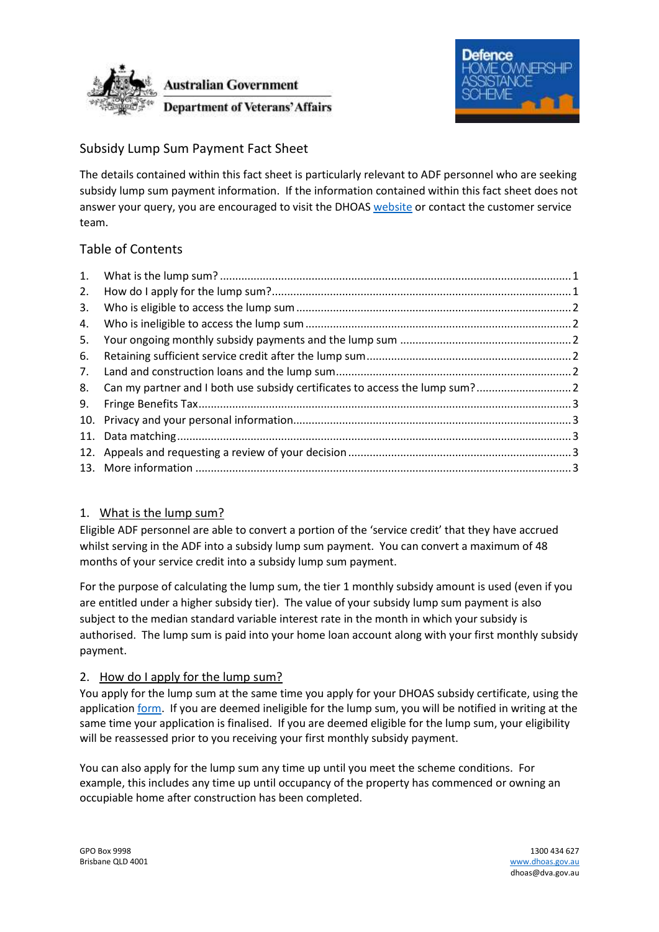



# Subsidy Lump Sum Payment Fact Sheet

The details contained within this fact sheet is particularly relevant to ADF personnel who are seeking subsidy lump sum payment information. If the information contained within this fact sheet does not answer your query, you are encouraged to visit the DHOAS [website](https://www.dhoas.gov.au/) or contact the customer service team.

# Table of Contents

| 2.  |  |
|-----|--|
| 3.  |  |
| 4.  |  |
| 5.  |  |
| 6.  |  |
|     |  |
| 8.  |  |
| 9.  |  |
|     |  |
| 11. |  |
| 12. |  |
|     |  |

## <span id="page-0-0"></span>1. What is the lump sum?

Eligible ADF personnel are able to convert a portion of the 'service credit' that they have accrued whilst serving in the ADF into a subsidy lump sum payment. You can convert a maximum of 48 months of your service credit into a subsidy lump sum payment.

For the purpose of calculating the lump sum, the tier 1 monthly subsidy amount is used (even if you are entitled under a higher subsidy tier). The value of your subsidy lump sum payment is also subject to the median standard variable interest rate in the month in which your subsidy is authorised. The lump sum is paid into your home loan account along with your first monthly subsidy payment.

## <span id="page-0-1"></span>2. How do I apply for the lump sum?

You apply for the lump sum at the same time you apply for your DHOAS subsidy certificate, using the application [form.](https://www.dhoas.gov.au/forms.html#application) If you are deemed ineligible for the lump sum, you will be notified in writing at the same time your application is finalised. If you are deemed eligible for the lump sum, your eligibility will be reassessed prior to you receiving your first monthly subsidy payment.

You can also apply for the lump sum any time up until you meet the scheme conditions. For example, this includes any time up until occupancy of the property has commenced or owning an occupiable home after construction has been completed.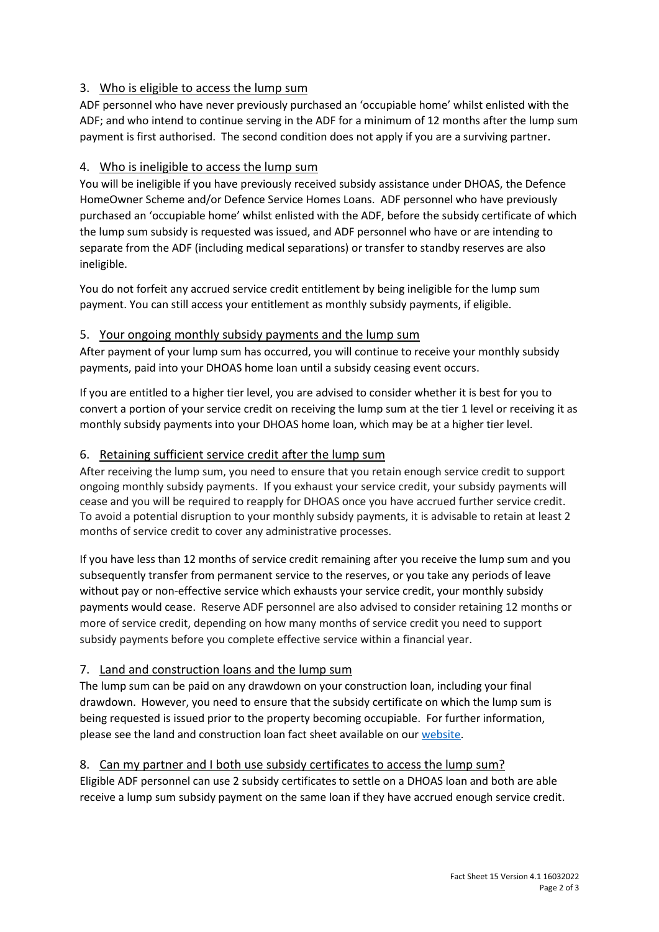## <span id="page-1-0"></span>3. Who is eligible to access the lump sum

ADF personnel who have never previously purchased an 'occupiable home' whilst enlisted with the ADF; and who intend to continue serving in the ADF for a minimum of 12 months after the lump sum payment is first authorised. The second condition does not apply if you are a surviving partner.

### <span id="page-1-1"></span>4. Who is ineligible to access the lump sum

You will be ineligible if you have previously received subsidy assistance under DHOAS, the Defence HomeOwner Scheme and/or Defence Service Homes Loans. ADF personnel who have previously purchased an 'occupiable home' whilst enlisted with the ADF, before the subsidy certificate of which the lump sum subsidy is requested was issued, and ADF personnel who have or are intending to separate from the ADF (including medical separations) or transfer to standby reserves are also ineligible.

You do not forfeit any accrued service credit entitlement by being ineligible for the lump sum payment. You can still access your entitlement as monthly subsidy payments, if eligible.

### <span id="page-1-2"></span>5. Your ongoing monthly subsidy payments and the lump sum

After payment of your lump sum has occurred, you will continue to receive your monthly subsidy payments, paid into your DHOAS home loan until a subsidy ceasing event occurs.

If you are entitled to a higher tier level, you are advised to consider whether it is best for you to convert a portion of your service credit on receiving the lump sum at the tier 1 level or receiving it as monthly subsidy payments into your DHOAS home loan, which may be at a higher tier level.

#### <span id="page-1-3"></span>6. Retaining sufficient service credit after the lump sum

After receiving the lump sum, you need to ensure that you retain enough service credit to support ongoing monthly subsidy payments. If you exhaust your service credit, your subsidy payments will cease and you will be required to reapply for DHOAS once you have accrued further service credit. To avoid a potential disruption to your monthly subsidy payments, it is advisable to retain at least 2 months of service credit to cover any administrative processes.

If you have less than 12 months of service credit remaining after you receive the lump sum and you subsequently transfer from permanent service to the reserves, or you take any periods of leave without pay or non-effective service which exhausts your service credit, your monthly subsidy payments would cease. Reserve ADF personnel are also advised to consider retaining 12 months or more of service credit, depending on how many months of service credit you need to support subsidy payments before you complete effective service within a financial year.

#### <span id="page-1-4"></span>7. Land and construction loans and the lump sum

The lump sum can be paid on any drawdown on your construction loan, including your final drawdown. However, you need to ensure that the subsidy certificate on which the lump sum is being requested is issued prior to the property becoming occupiable. For further information, please see the land and construction loan fact sheet available on our [website.](https://www.dhoas.gov.au/dhoas-presentation-and-fact-sheet.html#Otherfactsheets)

#### <span id="page-1-5"></span>8. Can my partner and I both use subsidy certificates to access the lump sum?

Eligible ADF personnel can use 2 subsidy certificates to settle on a DHOAS loan and both are able receive a lump sum subsidy payment on the same loan if they have accrued enough service credit.